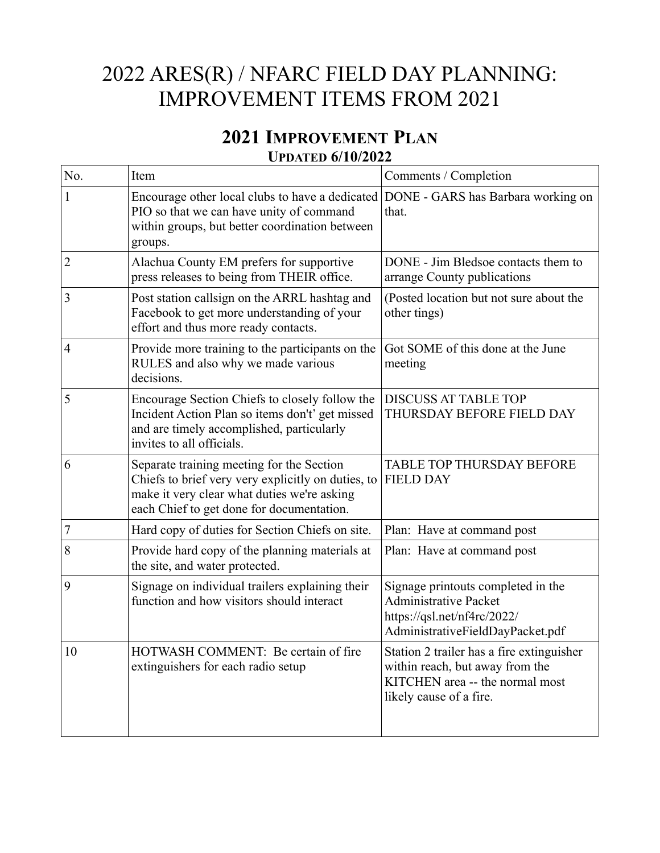## 2022 ARES(R) / NFARC FIELD DAY PLANNING: IMPROVEMENT ITEMS FROM 2021

## **2021 IMPROVEMENT PLAN UPDATED 6/10/2022**

| No. | Item                                                                                                                                                                                        | Comments / Completion                                                                                                                      |
|-----|---------------------------------------------------------------------------------------------------------------------------------------------------------------------------------------------|--------------------------------------------------------------------------------------------------------------------------------------------|
|     | Encourage other local clubs to have a dedicated DONE - GARS has Barbara working on<br>PIO so that we can have unity of command<br>within groups, but better coordination between<br>groups. | that.                                                                                                                                      |
| 2   | Alachua County EM prefers for supportive<br>press releases to being from THEIR office.                                                                                                      | DONE - Jim Bledsoe contacts them to<br>arrange County publications                                                                         |
| 3   | Post station callsign on the ARRL hashtag and<br>Facebook to get more understanding of your<br>effort and thus more ready contacts.                                                         | (Posted location but not sure about the<br>other tings)                                                                                    |
| 4   | Provide more training to the participants on the<br>RULES and also why we made various<br>decisions.                                                                                        | Got SOME of this done at the June<br>meeting                                                                                               |
| 5   | Encourage Section Chiefs to closely follow the<br>Incident Action Plan so items don't' get missed<br>and are timely accomplished, particularly<br>invites to all officials.                 | <b>DISCUSS AT TABLE TOP</b><br>THURSDAY BEFORE FIELD DAY                                                                                   |
| 6   | Separate training meeting for the Section<br>Chiefs to brief very very explicitly on duties, to<br>make it very clear what duties we're asking<br>each Chief to get done for documentation. | <b>TABLE TOP THURSDAY BEFORE</b><br><b>FIELD DAY</b>                                                                                       |
| 7   | Hard copy of duties for Section Chiefs on site.                                                                                                                                             | Plan: Have at command post                                                                                                                 |
| 8   | Provide hard copy of the planning materials at<br>the site, and water protected.                                                                                                            | Plan: Have at command post                                                                                                                 |
| 9   | Signage on individual trailers explaining their<br>function and how visitors should interact                                                                                                | Signage printouts completed in the<br><b>Administrative Packet</b><br>https://qsl.net/nf4rc/2022/<br>AdministrativeFieldDayPacket.pdf      |
| 10  | HOTWASH COMMENT: Be certain of fire<br>extinguishers for each radio setup                                                                                                                   | Station 2 trailer has a fire extinguisher<br>within reach, but away from the<br>KITCHEN area -- the normal most<br>likely cause of a fire. |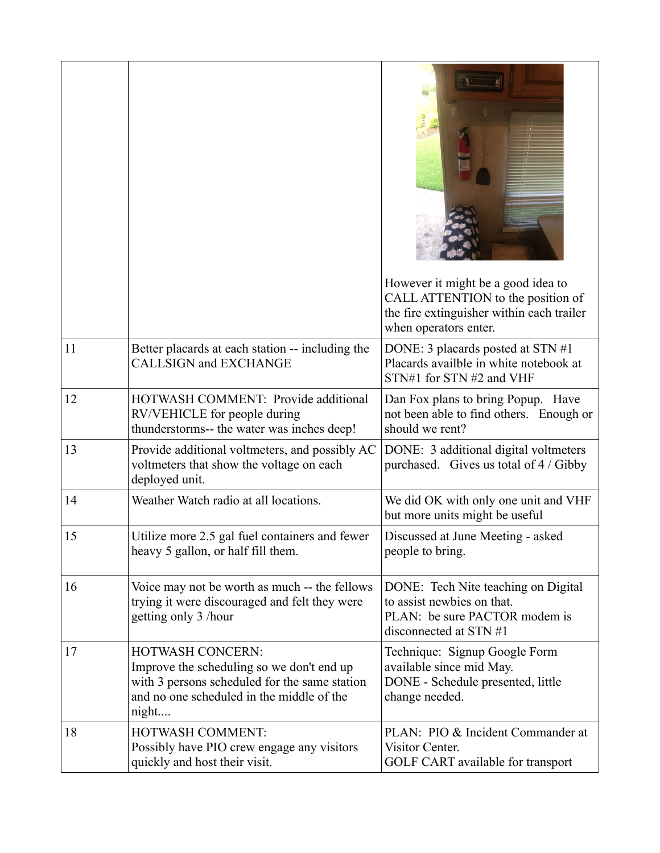|    |                                                                                                                                                                             | However it might be a good idea to<br>CALL ATTENTION to the position of<br>the fire extinguisher within each trailer<br>when operators enter. |
|----|-----------------------------------------------------------------------------------------------------------------------------------------------------------------------------|-----------------------------------------------------------------------------------------------------------------------------------------------|
| 11 | Better placards at each station -- including the<br><b>CALLSIGN and EXCHANGE</b>                                                                                            | DONE: 3 placards posted at STN #1<br>Placards availble in white notebook at<br>STN#1 for STN #2 and VHF                                       |
| 12 | HOTWASH COMMENT: Provide additional<br>RV/VEHICLE for people during<br>thunderstorms-- the water was inches deep!                                                           | Dan Fox plans to bring Popup. Have<br>not been able to find others. Enough or<br>should we rent?                                              |
| 13 | Provide additional voltmeters, and possibly AC<br>voltmeters that show the voltage on each<br>deployed unit.                                                                | DONE: 3 additional digital voltmeters<br>purchased. Gives us total of 4 / Gibby                                                               |
| 14 | Weather Watch radio at all locations.                                                                                                                                       | We did OK with only one unit and VHF<br>but more units might be useful                                                                        |
| 15 | Utilize more 2.5 gal fuel containers and fewer<br>heavy 5 gallon, or half fill them.                                                                                        | Discussed at June Meeting - asked<br>people to bring.                                                                                         |
| 16 | Voice may not be worth as much -- the fellows<br>trying it were discouraged and felt they were<br>getting only 3 /hour                                                      | DONE: Tech Nite teaching on Digital<br>to assist newbies on that.<br>PLAN: be sure PACTOR modem is<br>disconnected at STN #1                  |
| 17 | <b>HOTWASH CONCERN:</b><br>Improve the scheduling so we don't end up<br>with 3 persons scheduled for the same station<br>and no one scheduled in the middle of the<br>night | Technique: Signup Google Form<br>available since mid May.<br>DONE - Schedule presented, little<br>change needed.                              |
| 18 | HOTWASH COMMENT:<br>Possibly have PIO crew engage any visitors<br>quickly and host their visit.                                                                             | PLAN: PIO & Incident Commander at<br>Visitor Center.<br>GOLF CART available for transport                                                     |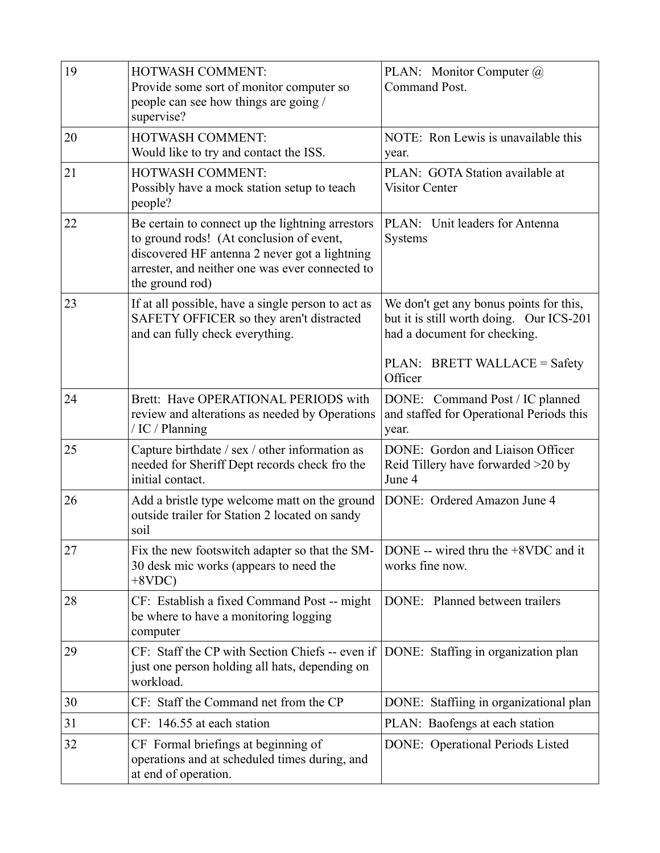| 19 | HOTWASH COMMENT:<br>Provide some sort of monitor computer so<br>people can see how things are going /<br>supervise?                                                                                                 | PLAN: Monitor Computer @<br>Command Post.                                                                           |
|----|---------------------------------------------------------------------------------------------------------------------------------------------------------------------------------------------------------------------|---------------------------------------------------------------------------------------------------------------------|
| 20 | HOTWASH COMMENT:<br>Would like to try and contact the ISS.                                                                                                                                                          | NOTE: Ron Lewis is unavailable this<br>year.                                                                        |
| 21 | HOTWASH COMMENT:<br>Possibly have a mock station setup to teach<br>people?                                                                                                                                          | PLAN: GOTA Station available at<br><b>Visitor Center</b>                                                            |
| 22 | Be certain to connect up the lightning arrestors<br>to ground rods! (At conclusion of event,<br>discovered HF antenna 2 never got a lightning<br>arrester, and neither one was ever connected to<br>the ground rod) | PLAN: Unit leaders for Antenna<br>Systems                                                                           |
| 23 | If at all possible, have a single person to act as<br>SAFETY OFFICER so they aren't distracted<br>and can fully check everything.                                                                                   | We don't get any bonus points for this,<br>but it is still worth doing. Our ICS-201<br>had a document for checking. |
|    |                                                                                                                                                                                                                     | PLAN: BRETT WALLACE = Safety<br>Officer                                                                             |
| 24 | Brett: Have OPERATIONAL PERIODS with<br>review and alterations as needed by Operations<br>/ IC / Planning                                                                                                           | DONE: Command Post / IC planned<br>and staffed for Operational Periods this<br>year.                                |
| 25 | Capture birthdate / sex / other information as<br>needed for Sheriff Dept records check fro the<br>initial contact.                                                                                                 | DONE: Gordon and Liaison Officer<br>Reid Tillery have forwarded >20 by<br>June 4                                    |
| 26 | Add a bristle type welcome matt on the ground<br>outside trailer for Station 2 located on sandy<br>soil                                                                                                             | DONE: Ordered Amazon June 4                                                                                         |
| 27 | Fix the new footswitch adapter so that the SM-<br>30 desk mic works (appears to need the<br>$+8VDC$                                                                                                                 | DONE -- wired thru the $+8VDC$ and it<br>works fine now.                                                            |
| 28 | CF: Establish a fixed Command Post -- might<br>be where to have a monitoring logging<br>computer                                                                                                                    | DONE: Planned between trailers                                                                                      |
| 29 | CF: Staff the CP with Section Chiefs -- even if<br>just one person holding all hats, depending on<br>workload.                                                                                                      | DONE: Staffing in organization plan                                                                                 |
| 30 | CF: Staff the Command net from the CP                                                                                                                                                                               | DONE: Staffiing in organizational plan                                                                              |
| 31 | CF: 146.55 at each station                                                                                                                                                                                          | PLAN: Baofengs at each station                                                                                      |
| 32 | CF Formal briefings at beginning of<br>operations and at scheduled times during, and<br>at end of operation.                                                                                                        | <b>DONE:</b> Operational Periods Listed                                                                             |